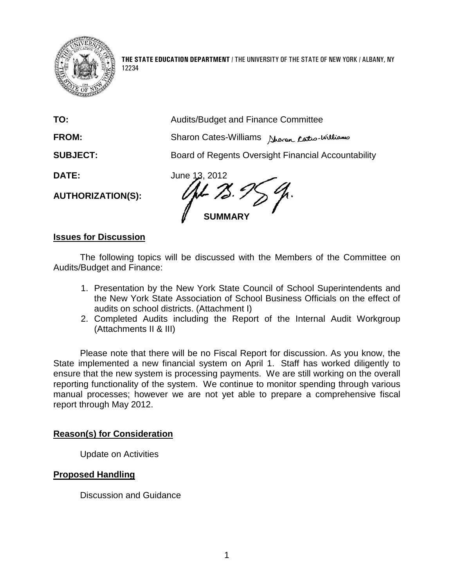

**THE STATE EDUCATION DEPARTMENT** / THE UNIVERSITY OF THE STATE OF NEW YORK / ALBANY, NY 12234

**TO:** Audits/Budget and Finance Committee

**FROM:** Sharon Cates-Williams North Cates-Williams

**SUBJECT:** Board of Regents Oversight Financial Accountability

**AUTHORIZATION(S):**

**DATE:** June 13, 2012 **SUMMARY**

## **Issues for Discussion**

The following topics will be discussed with the Members of the Committee on Audits/Budget and Finance:

- 1. Presentation by the New York State Council of School Superintendents and the New York State Association of School Business Officials on the effect of audits on school districts. (Attachment I)
- 2. Completed Audits including the Report of the Internal Audit Workgroup (Attachments II & III)

Please note that there will be no Fiscal Report for discussion. As you know, the State implemented a new financial system on April 1. Staff has worked diligently to ensure that the new system is processing payments. We are still working on the overall reporting functionality of the system. We continue to monitor spending through various manual processes; however we are not yet able to prepare a comprehensive fiscal report through May 2012.

# **Reason(s) for Consideration**

Update on Activities

### **Proposed Handling**

Discussion and Guidance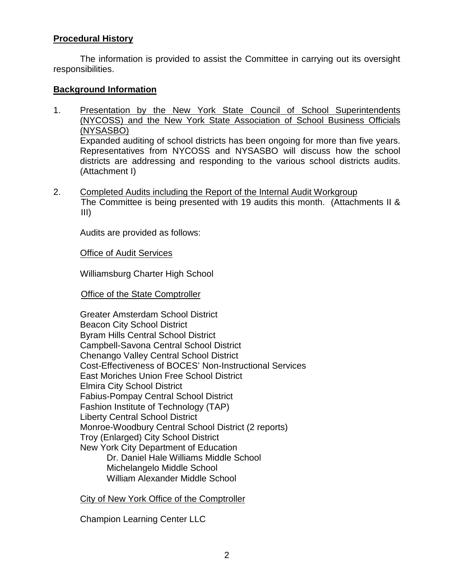## **Procedural History**

The information is provided to assist the Committee in carrying out its oversight responsibilities.

### **Background Information**

- 1. Presentation by the New York State Council of School Superintendents (NYCOSS) and the New York State Association of School Business Officials (NYSASBO) Expanded auditing of school districts has been ongoing for more than five years. Representatives from NYCOSS and NYSASBO will discuss how the school districts are addressing and responding to the various school districts audits. (Attachment I)
- 2. Completed Audits including the Report of the Internal Audit Workgroup The Committee is being presented with 19 audits this month. (Attachments II & III)

Audits are provided as follows:

**Office of Audit Services** 

Williamsburg Charter High School

Office of the State Comptroller

Greater Amsterdam School District Beacon City School District Byram Hills Central School District Campbell-Savona Central School District Chenango Valley Central School District Cost-Effectiveness of BOCES' Non-Instructional Services East Moriches Union Free School District Elmira City School District Fabius-Pompay Central School District Fashion Institute of Technology (TAP) Liberty Central School District Monroe-Woodbury Central School District (2 reports) Troy (Enlarged) City School District New York City Department of Education Dr. Daniel Hale Williams Middle School Michelangelo Middle School William Alexander Middle School

City of New York Office of the Comptroller

Champion Learning Center LLC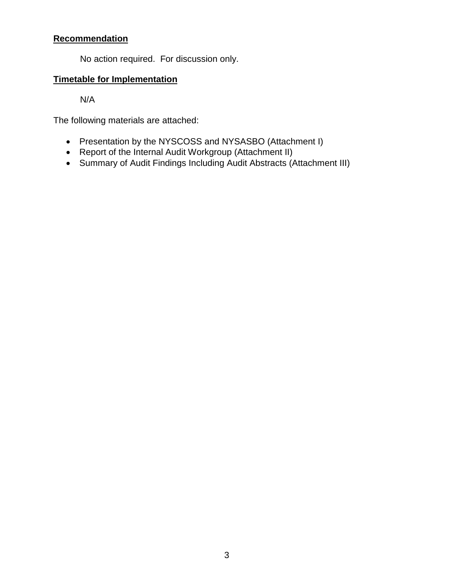# **Recommendation**

No action required. For discussion only.

# **Timetable for Implementation**

N/A

The following materials are attached:

- Presentation by the NYSCOSS and NYSASBO (Attachment I)
- Report of the Internal Audit Workgroup (Attachment II)
- Summary of Audit Findings Including Audit Abstracts (Attachment III)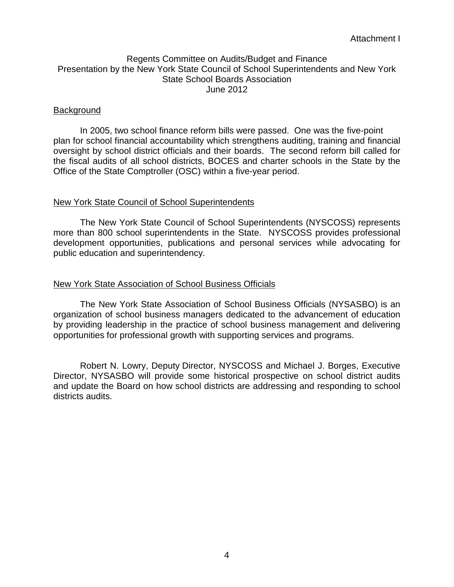### Regents Committee on Audits/Budget and Finance Presentation by the New York State Council of School Superintendents and New York State School Boards Association June 2012

#### Background

In 2005, two school finance reform bills were passed. One was the five-point plan for school financial accountability which strengthens auditing, training and financial oversight by school district officials and their boards. The second reform bill called for the fiscal audits of all school districts, BOCES and charter schools in the State by the Office of the State Comptroller (OSC) within a five-year period.

#### New York State Council of School Superintendents

The New York State Council of School Superintendents (NYSCOSS) represents more than 800 school superintendents in the State. NYSCOSS provides professional development opportunities, publications and personal services while advocating for public education and superintendency.

### New York State Association of School Business Officials

The New York State Association of School Business Officials (NYSASBO) is an organization of school business managers dedicated to the advancement of education by providing leadership in the practice of school business management and delivering opportunities for professional growth with supporting services and programs.

Robert N. Lowry, Deputy Director, NYSCOSS and Michael J. Borges, Executive Director, NYSASBO will provide some historical prospective on school district audits and update the Board on how school districts are addressing and responding to school districts audits.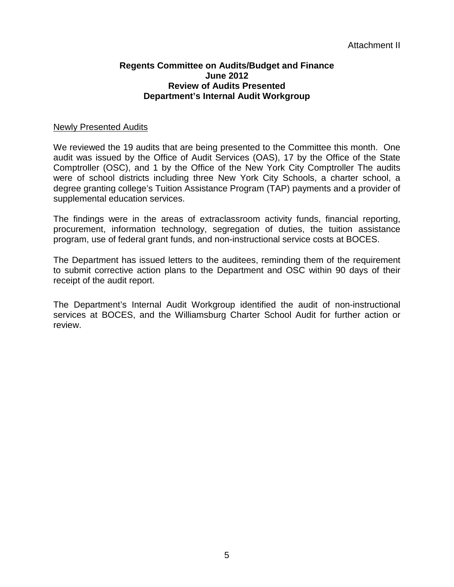#### **Regents Committee on Audits/Budget and Finance June 2012 Review of Audits Presented Department's Internal Audit Workgroup**

#### Newly Presented Audits

We reviewed the 19 audits that are being presented to the Committee this month. One audit was issued by the Office of Audit Services (OAS), 17 by the Office of the State Comptroller (OSC), and 1 by the Office of the New York City Comptroller The audits were of school districts including three New York City Schools, a charter school, a degree granting college's Tuition Assistance Program (TAP) payments and a provider of supplemental education services.

The findings were in the areas of extraclassroom activity funds, financial reporting, procurement, information technology, segregation of duties, the tuition assistance program, use of federal grant funds, and non-instructional service costs at BOCES.

The Department has issued letters to the auditees, reminding them of the requirement to submit corrective action plans to the Department and OSC within 90 days of their receipt of the audit report.

The Department's Internal Audit Workgroup identified the audit of non-instructional services at BOCES, and the Williamsburg Charter School Audit for further action or review.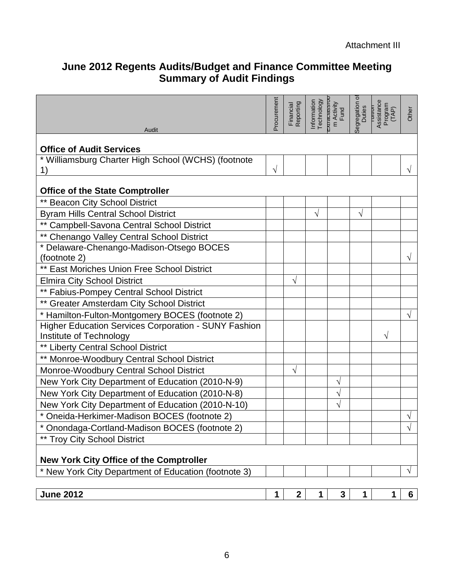# **June 2012 Regents Audits/Budget and Finance Committee Meeting Summary of Audit Findings**

| Audit                                                                               | Procurement | Financial<br>Reporting | Information<br>Technology | <b>TRANSITY</b><br>m Activity<br>Fund | ৳<br>iegregation o | Assistance<br>Program<br>TUTTOTT<br>(TAP) | Other          |
|-------------------------------------------------------------------------------------|-------------|------------------------|---------------------------|---------------------------------------|--------------------|-------------------------------------------|----------------|
| <b>Office of Audit Services</b>                                                     |             |                        |                           |                                       |                    |                                           |                |
| * Williamsburg Charter High School (WCHS) (footnote                                 |             |                        |                           |                                       |                    |                                           |                |
| 1)                                                                                  | V           |                        |                           |                                       |                    |                                           |                |
| <b>Office of the State Comptroller</b>                                              |             |                        |                           |                                       |                    |                                           |                |
| ** Beacon City School District                                                      |             |                        |                           |                                       |                    |                                           |                |
| <b>Byram Hills Central School District</b>                                          |             |                        | V                         |                                       | $\sqrt{}$          |                                           |                |
| ** Campbell-Savona Central School District                                          |             |                        |                           |                                       |                    |                                           |                |
| ** Chenango Valley Central School District                                          |             |                        |                           |                                       |                    |                                           |                |
| * Delaware-Chenango-Madison-Otsego BOCES<br>(footnote 2)                            |             |                        |                           |                                       |                    |                                           |                |
| ** East Moriches Union Free School District                                         |             |                        |                           |                                       |                    |                                           |                |
| <b>Elmira City School District</b>                                                  |             | V                      |                           |                                       |                    |                                           |                |
| ** Fabius-Pompey Central School District                                            |             |                        |                           |                                       |                    |                                           |                |
| ** Greater Amsterdam City School District                                           |             |                        |                           |                                       |                    |                                           |                |
| * Hamilton-Fulton-Montgomery BOCES (footnote 2)                                     |             |                        |                           |                                       |                    |                                           | √              |
| <b>Higher Education Services Corporation - SUNY Fashion</b>                         |             |                        |                           |                                       |                    |                                           |                |
| Institute of Technology                                                             |             |                        |                           |                                       |                    | V                                         |                |
| ** Liberty Central School District                                                  |             |                        |                           |                                       |                    |                                           |                |
| ** Monroe-Woodbury Central School District                                          |             |                        |                           |                                       |                    |                                           |                |
| Monroe-Woodbury Central School District                                             |             | V                      |                           |                                       |                    |                                           |                |
| New York City Department of Education (2010-N-9)                                    |             |                        |                           | V                                     |                    |                                           |                |
| New York City Department of Education (2010-N-8)                                    |             |                        |                           | V                                     |                    |                                           |                |
| New York City Department of Education (2010-N-10)                                   |             |                        |                           | V                                     |                    |                                           |                |
| * Oneida-Herkimer-Madison BOCES (footnote 2)                                        |             |                        |                           |                                       |                    |                                           |                |
| Onondaga-Cortland-Madison BOCES (footnote 2)<br><b>** Troy City School District</b> |             |                        |                           |                                       |                    |                                           | V              |
|                                                                                     |             |                        |                           |                                       |                    |                                           |                |
| <b>New York City Office of the Comptroller</b>                                      |             |                        |                           |                                       |                    |                                           |                |
| * New York City Department of Education (footnote 3)                                |             |                        |                           |                                       |                    |                                           | $\sqrt{ }$     |
|                                                                                     |             |                        |                           |                                       |                    |                                           |                |
| <b>June 2012</b>                                                                    | 1           | $\mathbf{2}$           | 1                         | 3                                     | 1                  | 1                                         | 6 <sup>1</sup> |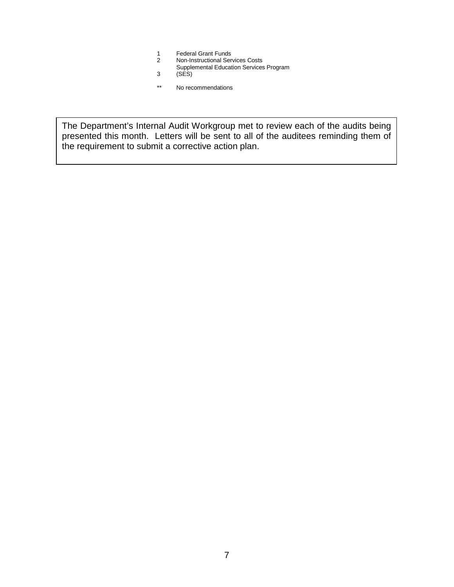- 1 Federal Grant Funds
- 2 Non-Instructional Services Costs
- Supplemental Education Services Program
- 3 (SES)
- \*\* No recommendations

The Department's Internal Audit Workgroup met to review each of the audits being presented this month. Letters will be sent to all of the auditees reminding them of the requirement to submit a corrective action plan.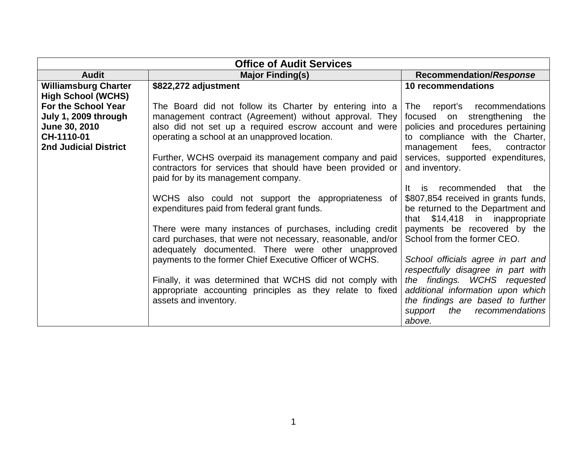| <b>Office of Audit Services</b>                                                                            |                                                                                                                                                                                                                              |                                                                                                                                                                                     |  |
|------------------------------------------------------------------------------------------------------------|------------------------------------------------------------------------------------------------------------------------------------------------------------------------------------------------------------------------------|-------------------------------------------------------------------------------------------------------------------------------------------------------------------------------------|--|
| <b>Audit</b>                                                                                               | <b>Major Finding(s)</b>                                                                                                                                                                                                      | <b>Recommendation/Response</b>                                                                                                                                                      |  |
| <b>Williamsburg Charter</b><br><b>High School (WCHS)</b>                                                   | \$822,272 adjustment                                                                                                                                                                                                         | 10 recommendations                                                                                                                                                                  |  |
| For the School Year<br>July 1, 2009 through<br>June 30, 2010<br>CH-1110-01<br><b>2nd Judicial District</b> | The Board did not follow its Charter by entering into a<br>management contract (Agreement) without approval. They<br>also did not set up a required escrow account and were<br>operating a school at an unapproved location. | report's recommendations<br>The<br>strengthening<br>focused on<br>the<br>policies and procedures pertaining<br>to compliance with the Charter,<br>fees,<br>management<br>contractor |  |
|                                                                                                            | Further, WCHS overpaid its management company and paid<br>contractors for services that should have been provided or<br>paid for by its management company.                                                                  | services, supported expenditures,<br>and inventory.                                                                                                                                 |  |
|                                                                                                            | WCHS also could not support the appropriateness of<br>expenditures paid from federal grant funds.                                                                                                                            | recommended<br>lt.<br>is<br>that<br>the<br>\$807,854 received in grants funds,<br>be returned to the Department and<br>that \$14,418 in inappropriate                               |  |
|                                                                                                            | There were many instances of purchases, including credit<br>card purchases, that were not necessary, reasonable, and/or<br>adequately documented. There were other unapproved                                                | payments be recovered by the<br>School from the former CEO.                                                                                                                         |  |
|                                                                                                            | payments to the former Chief Executive Officer of WCHS.                                                                                                                                                                      | School officials agree in part and<br>respectfully disagree in part with                                                                                                            |  |
|                                                                                                            | Finally, it was determined that WCHS did not comply with<br>appropriate accounting principles as they relate to fixed<br>assets and inventory.                                                                               | the findings. WCHS requested<br>additional information upon which<br>the findings are based to further<br>the<br>recommendations<br>support<br>above.                               |  |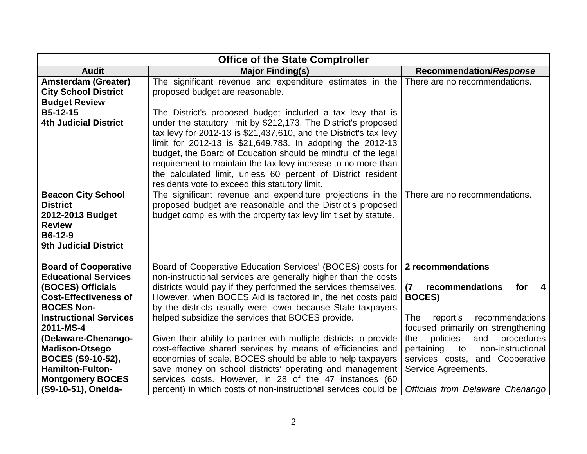| <b>Office of the State Comptroller</b>                                                                                                                                |                                                                                                                                                                                                                                                                                                                                                                                                                                                                                                                      |                                                                                                                                                                                                                   |  |
|-----------------------------------------------------------------------------------------------------------------------------------------------------------------------|----------------------------------------------------------------------------------------------------------------------------------------------------------------------------------------------------------------------------------------------------------------------------------------------------------------------------------------------------------------------------------------------------------------------------------------------------------------------------------------------------------------------|-------------------------------------------------------------------------------------------------------------------------------------------------------------------------------------------------------------------|--|
| <b>Audit</b>                                                                                                                                                          | <b>Major Finding(s)</b>                                                                                                                                                                                                                                                                                                                                                                                                                                                                                              | <b>Recommendation/Response</b>                                                                                                                                                                                    |  |
| <b>Amsterdam (Greater)</b><br><b>City School District</b><br><b>Budget Review</b>                                                                                     | The significant revenue and expenditure estimates in the<br>proposed budget are reasonable.                                                                                                                                                                                                                                                                                                                                                                                                                          | There are no recommendations.                                                                                                                                                                                     |  |
| B5-12-15<br><b>4th Judicial District</b>                                                                                                                              | The District's proposed budget included a tax levy that is<br>under the statutory limit by \$212,173. The District's proposed<br>tax levy for 2012-13 is \$21,437,610, and the District's tax levy<br>limit for 2012-13 is \$21,649,783. In adopting the 2012-13<br>budget, the Board of Education should be mindful of the legal<br>requirement to maintain the tax levy increase to no more than<br>the calculated limit, unless 60 percent of District resident<br>residents vote to exceed this statutory limit. |                                                                                                                                                                                                                   |  |
| <b>Beacon City School</b><br><b>District</b><br>2012-2013 Budget<br><b>Review</b><br>B6-12-9<br><b>9th Judicial District</b>                                          | The significant revenue and expenditure projections in the<br>proposed budget are reasonable and the District's proposed<br>budget complies with the property tax levy limit set by statute.                                                                                                                                                                                                                                                                                                                         | There are no recommendations.                                                                                                                                                                                     |  |
| <b>Board of Cooperative</b><br><b>Educational Services</b><br>(BOCES) Officials<br><b>Cost-Effectiveness of</b><br><b>BOCES Non-</b><br><b>Instructional Services</b> | Board of Cooperative Education Services' (BOCES) costs for<br>non-instructional services are generally higher than the costs<br>districts would pay if they performed the services themselves.<br>However, when BOCES Aid is factored in, the net costs paid<br>by the districts usually were lower because State taxpayers<br>helped subsidize the services that BOCES provide.                                                                                                                                     | 2 recommendations<br>recommendations<br>for<br>(7)<br>$\overline{\mathbf{4}}$<br><b>BOCES</b> )<br>recommendations<br>report's<br>The                                                                             |  |
| 2011-MS-4<br>(Delaware-Chenango-<br><b>Madison-Otsego</b><br>BOCES (S9-10-52),<br><b>Hamilton-Fulton-</b><br><b>Montgomery BOCES</b><br>(S9-10-51), Oneida-           | Given their ability to partner with multiple districts to provide<br>cost-effective shared services by means of efficiencies and<br>economies of scale, BOCES should be able to help taxpayers<br>save money on school districts' operating and management<br>services costs. However, in 28 of the 47 instances (60<br>percent) in which costs of non-instructional services could be                                                                                                                               | focused primarily on strengthening<br>policies<br>and<br>procedures<br>the<br>non-instructional<br>pertaining<br>to<br>services costs, and Cooperative<br>Service Agreements.<br>Officials from Delaware Chenango |  |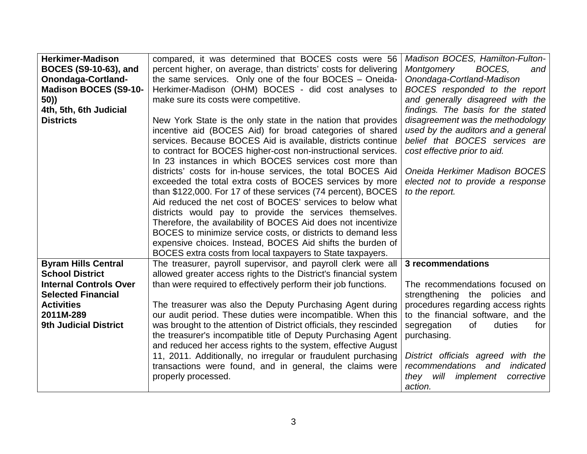| <b>Herkimer-Madison</b>       | compared, it was determined that BOCES costs were 56               | Madison BOCES, Hamilton-Fulton-         |
|-------------------------------|--------------------------------------------------------------------|-----------------------------------------|
| <b>BOCES (S9-10-63), and</b>  | percent higher, on average, than districts' costs for delivering   | Montgomery<br>BOCES,<br>and             |
| <b>Onondaga-Cortland-</b>     | the same services. Only one of the four BOCES - Oneida-            | Onondaga-Cortland-Madison               |
| <b>Madison BOCES (S9-10-</b>  | Herkimer-Madison (OHM) BOCES - did cost analyses to                | BOCES responded to the report           |
| 50))                          | make sure its costs were competitive.                              | and generally disagreed with the        |
| 4th, 5th, 6th Judicial        |                                                                    | findings. The basis for the stated      |
| <b>Districts</b>              | New York State is the only state in the nation that provides       | disagreement was the methodology        |
|                               | incentive aid (BOCES Aid) for broad categories of shared           | used by the auditors and a general      |
|                               | services. Because BOCES Aid is available, districts continue       | belief that BOCES services are          |
|                               | to contract for BOCES higher-cost non-instructional services.      | cost effective prior to aid.            |
|                               | In 23 instances in which BOCES services cost more than             |                                         |
|                               | districts' costs for in-house services, the total BOCES Aid        | Oneida Herkimer Madison BOCES           |
|                               | exceeded the total extra costs of BOCES services by more           | elected not to provide a response       |
|                               | than \$122,000. For 17 of these services (74 percent), BOCES       | to the report.                          |
|                               | Aid reduced the net cost of BOCES' services to below what          |                                         |
|                               | districts would pay to provide the services themselves.            |                                         |
|                               | Therefore, the availability of BOCES Aid does not incentivize      |                                         |
|                               | BOCES to minimize service costs, or districts to demand less       |                                         |
|                               | expensive choices. Instead, BOCES Aid shifts the burden of         |                                         |
|                               | BOCES extra costs from local taxpayers to State taxpayers.         |                                         |
| <b>Byram Hills Central</b>    | The treasurer, payroll supervisor, and payroll clerk were all      | 3 recommendations                       |
| <b>School District</b>        | allowed greater access rights to the District's financial system   |                                         |
| <b>Internal Controls Over</b> | than were required to effectively perform their job functions.     | The recommendations focused on          |
| <b>Selected Financial</b>     |                                                                    | strengthening the policies and          |
| <b>Activities</b>             | The treasurer was also the Deputy Purchasing Agent during          | procedures regarding access rights      |
| 2011M-289                     | our audit period. These duties were incompatible. When this        | to the financial software, and the      |
| <b>9th Judicial District</b>  | was brought to the attention of District officials, they rescinded | of<br>segregation<br>duties<br>for      |
|                               | the treasurer's incompatible title of Deputy Purchasing Agent      | purchasing.                             |
|                               | and reduced her access rights to the system, effective August      |                                         |
|                               | 11, 2011. Additionally, no irregular or fraudulent purchasing      | District officials agreed with the      |
|                               | transactions were found, and in general, the claims were           | recommendations and<br>indicated        |
|                               | properly processed.                                                | will<br>implement<br>they<br>corrective |
|                               |                                                                    | action.                                 |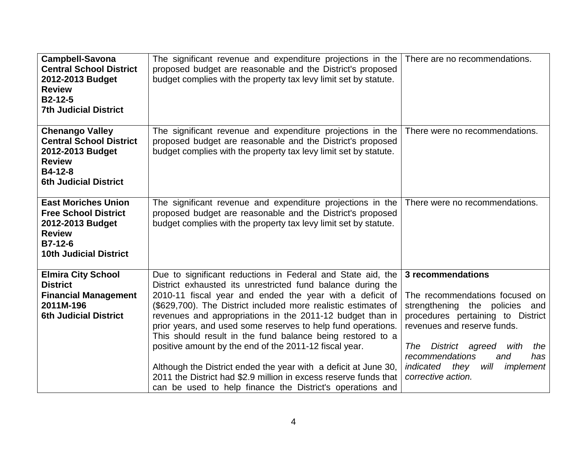| <b>Campbell-Savona</b><br><b>Central School District</b><br>2012-2013 Budget<br><b>Review</b><br><b>B2-12-5</b><br><b>7th Judicial District</b> | The significant revenue and expenditure projections in the<br>proposed budget are reasonable and the District's proposed<br>budget complies with the property tax levy limit set by statute.                                                                                                                                                                                                                                                                                                                                                                                                                                                                                                                      | There are no recommendations.                                                                                                                                                                                                                                                                       |
|-------------------------------------------------------------------------------------------------------------------------------------------------|-------------------------------------------------------------------------------------------------------------------------------------------------------------------------------------------------------------------------------------------------------------------------------------------------------------------------------------------------------------------------------------------------------------------------------------------------------------------------------------------------------------------------------------------------------------------------------------------------------------------------------------------------------------------------------------------------------------------|-----------------------------------------------------------------------------------------------------------------------------------------------------------------------------------------------------------------------------------------------------------------------------------------------------|
| <b>Chenango Valley</b><br><b>Central School District</b><br>2012-2013 Budget<br><b>Review</b><br>B4-12-8<br><b>6th Judicial District</b>        | The significant revenue and expenditure projections in the<br>proposed budget are reasonable and the District's proposed<br>budget complies with the property tax levy limit set by statute.                                                                                                                                                                                                                                                                                                                                                                                                                                                                                                                      | There were no recommendations.                                                                                                                                                                                                                                                                      |
| <b>East Moriches Union</b><br><b>Free School District</b><br>2012-2013 Budget<br><b>Review</b><br>B7-12-6<br><b>10th Judicial District</b>      | The significant revenue and expenditure projections in the<br>proposed budget are reasonable and the District's proposed<br>budget complies with the property tax levy limit set by statute.                                                                                                                                                                                                                                                                                                                                                                                                                                                                                                                      | There were no recommendations.                                                                                                                                                                                                                                                                      |
| <b>Elmira City School</b><br><b>District</b><br><b>Financial Management</b><br>2011M-196<br><b>6th Judicial District</b>                        | Due to significant reductions in Federal and State aid, the<br>District exhausted its unrestricted fund balance during the<br>2010-11 fiscal year and ended the year with a deficit of<br>(\$629,700). The District included more realistic estimates of<br>revenues and appropriations in the 2011-12 budget than in<br>prior years, and used some reserves to help fund operations.<br>This should result in the fund balance being restored to a<br>positive amount by the end of the 2011-12 fiscal year.<br>Although the District ended the year with a deficit at June 30,<br>2011 the District had \$2.9 million in excess reserve funds that<br>can be used to help finance the District's operations and | 3 recommendations<br>The recommendations focused on<br>strengthening the policies and<br>procedures pertaining to District<br>revenues and reserve funds.<br>District agreed<br>the<br>The<br>with<br>recommendations<br>and<br>has<br>will<br>implement<br>indicated<br>they<br>corrective action. |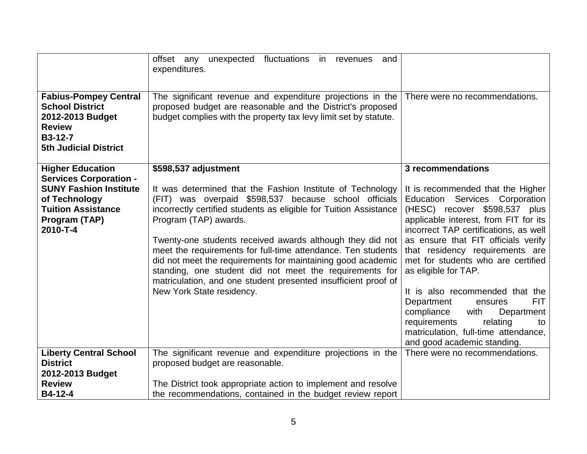| <b>Fabius-Pompey Central</b><br><b>School District</b><br>2012-2013 Budget<br><b>Review</b><br>B3-12-7<br><b>5th Judicial District</b>    | offset any unexpected fluctuations in revenues<br>and<br>expenditures.<br>The significant revenue and expenditure projections in the<br>proposed budget are reasonable and the District's proposed<br>budget complies with the property tax levy limit set by statute.                                                                                                                                                                                                                                                                                                  | There were no recommendations.                                                                                                                                                                                                                                                                                                                                    |
|-------------------------------------------------------------------------------------------------------------------------------------------|-------------------------------------------------------------------------------------------------------------------------------------------------------------------------------------------------------------------------------------------------------------------------------------------------------------------------------------------------------------------------------------------------------------------------------------------------------------------------------------------------------------------------------------------------------------------------|-------------------------------------------------------------------------------------------------------------------------------------------------------------------------------------------------------------------------------------------------------------------------------------------------------------------------------------------------------------------|
|                                                                                                                                           |                                                                                                                                                                                                                                                                                                                                                                                                                                                                                                                                                                         |                                                                                                                                                                                                                                                                                                                                                                   |
| <b>Higher Education</b>                                                                                                                   | \$598,537 adjustment                                                                                                                                                                                                                                                                                                                                                                                                                                                                                                                                                    | 3 recommendations                                                                                                                                                                                                                                                                                                                                                 |
| <b>Services Corporation -</b><br><b>SUNY Fashion Institute</b><br>of Technology<br><b>Tuition Assistance</b><br>Program (TAP)<br>2010-T-4 | It was determined that the Fashion Institute of Technology<br>(FIT) was overpaid \$598,537 because school officials<br>incorrectly certified students as eligible for Tuition Assistance<br>Program (TAP) awards.<br>Twenty-one students received awards although they did not<br>meet the requirements for full-time attendance. Ten students<br>did not meet the requirements for maintaining good academic<br>standing, one student did not meet the requirements for<br>matriculation, and one student presented insufficient proof of<br>New York State residency. | It is recommended that the Higher<br>Education Services Corporation<br>(HESC) recover \$598,537 plus<br>applicable interest, from FIT for its<br>incorrect TAP certifications, as well<br>as ensure that FIT officials verify<br>that residency requirements are<br>met for students who are certified<br>as eligible for TAP.<br>It is also recommended that the |
|                                                                                                                                           |                                                                                                                                                                                                                                                                                                                                                                                                                                                                                                                                                                         | <b>FIT</b><br>Department<br>ensures<br>with<br>compliance<br>Department<br>requirements<br>relating<br>to<br>matriculation, full-time attendance,<br>and good academic standing.                                                                                                                                                                                  |
| <b>Liberty Central School</b>                                                                                                             | The significant revenue and expenditure projections in the                                                                                                                                                                                                                                                                                                                                                                                                                                                                                                              | There were no recommendations.                                                                                                                                                                                                                                                                                                                                    |
| <b>District</b>                                                                                                                           | proposed budget are reasonable.                                                                                                                                                                                                                                                                                                                                                                                                                                                                                                                                         |                                                                                                                                                                                                                                                                                                                                                                   |
| 2012-2013 Budget                                                                                                                          |                                                                                                                                                                                                                                                                                                                                                                                                                                                                                                                                                                         |                                                                                                                                                                                                                                                                                                                                                                   |
| <b>Review</b>                                                                                                                             | The District took appropriate action to implement and resolve                                                                                                                                                                                                                                                                                                                                                                                                                                                                                                           |                                                                                                                                                                                                                                                                                                                                                                   |
| B4-12-4                                                                                                                                   | the recommendations, contained in the budget review report                                                                                                                                                                                                                                                                                                                                                                                                                                                                                                              |                                                                                                                                                                                                                                                                                                                                                                   |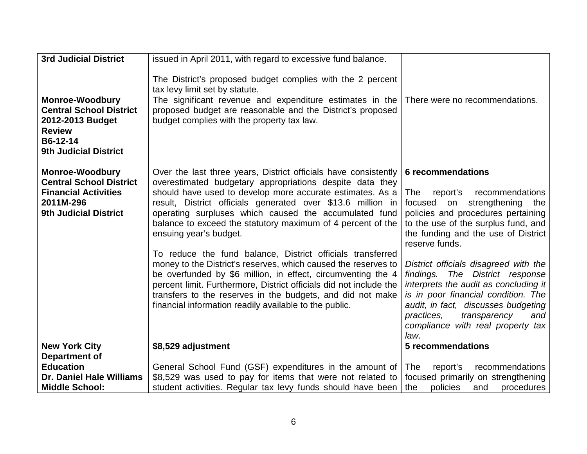| <b>3rd Judicial District</b>                                                                                                              | issued in April 2011, with regard to excessive fund balance.                                                                                                                                                                                                                                                                                                                                                                                                                                                                                                                                                                                                                                                                                                                                            |                                                                                                                                                                                                                                                                                                                                                                                                                                                                                                                                 |
|-------------------------------------------------------------------------------------------------------------------------------------------|---------------------------------------------------------------------------------------------------------------------------------------------------------------------------------------------------------------------------------------------------------------------------------------------------------------------------------------------------------------------------------------------------------------------------------------------------------------------------------------------------------------------------------------------------------------------------------------------------------------------------------------------------------------------------------------------------------------------------------------------------------------------------------------------------------|---------------------------------------------------------------------------------------------------------------------------------------------------------------------------------------------------------------------------------------------------------------------------------------------------------------------------------------------------------------------------------------------------------------------------------------------------------------------------------------------------------------------------------|
|                                                                                                                                           | The District's proposed budget complies with the 2 percent<br>tax levy limit set by statute.                                                                                                                                                                                                                                                                                                                                                                                                                                                                                                                                                                                                                                                                                                            |                                                                                                                                                                                                                                                                                                                                                                                                                                                                                                                                 |
| <b>Monroe-Woodbury</b><br><b>Central School District</b><br>2012-2013 Budget<br><b>Review</b><br>B6-12-14<br><b>9th Judicial District</b> | The significant revenue and expenditure estimates in the<br>proposed budget are reasonable and the District's proposed<br>budget complies with the property tax law.                                                                                                                                                                                                                                                                                                                                                                                                                                                                                                                                                                                                                                    | There were no recommendations.                                                                                                                                                                                                                                                                                                                                                                                                                                                                                                  |
| <b>Monroe-Woodbury</b><br><b>Central School District</b><br><b>Financial Activities</b><br>2011M-296<br><b>9th Judicial District</b>      | Over the last three years, District officials have consistently<br>overestimated budgetary appropriations despite data they<br>should have used to develop more accurate estimates. As a<br>result, District officials generated over \$13.6 million in<br>operating surpluses which caused the accumulated fund<br>balance to exceed the statutory maximum of 4 percent of the<br>ensuing year's budget.<br>To reduce the fund balance, District officials transferred<br>money to the District's reserves, which caused the reserves to<br>be overfunded by \$6 million, in effect, circumventing the 4<br>percent limit. Furthermore, District officials did not include the<br>transfers to the reserves in the budgets, and did not make<br>financial information readily available to the public. | <b>6</b> recommendations<br>recommendations<br>The<br>report's<br>focused on<br>strengthening<br>the<br>policies and procedures pertaining<br>to the use of the surplus fund, and<br>the funding and the use of District<br>reserve funds.<br>District officials disagreed with the<br>findings. The District response<br>interprets the audit as concluding it<br>is in poor financial condition. The<br>audit, in fact, discusses budgeting<br>transparency<br>practices,<br>and<br>compliance with real property tax<br>law. |
| <b>New York City</b><br>Department of                                                                                                     | \$8,529 adjustment                                                                                                                                                                                                                                                                                                                                                                                                                                                                                                                                                                                                                                                                                                                                                                                      | 5 recommendations                                                                                                                                                                                                                                                                                                                                                                                                                                                                                                               |
| <b>Education</b>                                                                                                                          | General School Fund (GSF) expenditures in the amount of                                                                                                                                                                                                                                                                                                                                                                                                                                                                                                                                                                                                                                                                                                                                                 | The<br>report's<br>recommendations                                                                                                                                                                                                                                                                                                                                                                                                                                                                                              |
| <b>Dr. Daniel Hale Williams</b><br><b>Middle School:</b>                                                                                  | \$8,529 was used to pay for items that were not related to<br>student activities. Regular tax levy funds should have been                                                                                                                                                                                                                                                                                                                                                                                                                                                                                                                                                                                                                                                                               | focused primarily on strengthening<br>the<br>policies<br>procedures<br>and                                                                                                                                                                                                                                                                                                                                                                                                                                                      |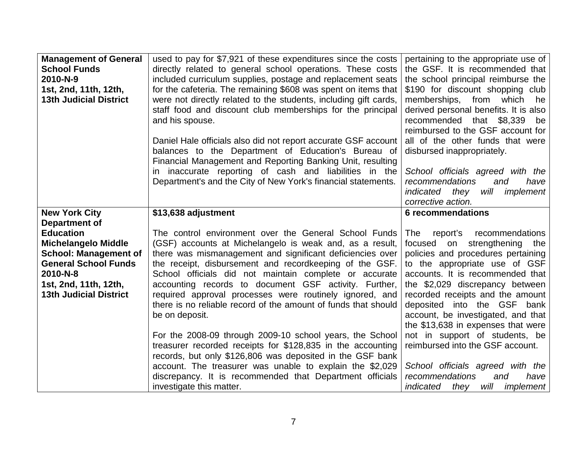| <b>Management of General</b><br><b>School Funds</b><br>2010-N-9<br>1st, 2nd, 11th, 12th,<br><b>13th Judicial District</b>                                                                                   | used to pay for \$7,921 of these expenditures since the costs<br>directly related to general school operations. These costs<br>included curriculum supplies, postage and replacement seats<br>for the cafeteria. The remaining \$608 was spent on items that<br>were not directly related to the students, including gift cards,<br>staff food and discount club memberships for the principal                                                                                                                                                                          | pertaining to the appropriate use of<br>the GSF. It is recommended that<br>the school principal reimburse the<br>\$190 for discount shopping club<br>memberships,<br>from<br>which<br>he<br>derived personal benefits. It is also                                                                                                                                                                       |
|-------------------------------------------------------------------------------------------------------------------------------------------------------------------------------------------------------------|-------------------------------------------------------------------------------------------------------------------------------------------------------------------------------------------------------------------------------------------------------------------------------------------------------------------------------------------------------------------------------------------------------------------------------------------------------------------------------------------------------------------------------------------------------------------------|---------------------------------------------------------------------------------------------------------------------------------------------------------------------------------------------------------------------------------------------------------------------------------------------------------------------------------------------------------------------------------------------------------|
|                                                                                                                                                                                                             | and his spouse.<br>Daniel Hale officials also did not report accurate GSF account<br>balances to the Department of Education's Bureau of<br>Financial Management and Reporting Banking Unit, resulting                                                                                                                                                                                                                                                                                                                                                                  | recommended that \$8,339<br>be<br>reimbursed to the GSF account for<br>all of the other funds that were<br>disbursed inappropriately.                                                                                                                                                                                                                                                                   |
|                                                                                                                                                                                                             | inaccurate reporting of cash and liabilities in the<br>in<br>Department's and the City of New York's financial statements.                                                                                                                                                                                                                                                                                                                                                                                                                                              | School officials agreed with the<br>recommendations<br>and<br>have<br>will<br><i>indicated</i> they<br>implement<br>corrective action.                                                                                                                                                                                                                                                                  |
| <b>New York City</b>                                                                                                                                                                                        | \$13,638 adjustment                                                                                                                                                                                                                                                                                                                                                                                                                                                                                                                                                     | <b>6 recommendations</b>                                                                                                                                                                                                                                                                                                                                                                                |
|                                                                                                                                                                                                             |                                                                                                                                                                                                                                                                                                                                                                                                                                                                                                                                                                         |                                                                                                                                                                                                                                                                                                                                                                                                         |
| <b>Department of</b><br><b>Education</b><br><b>Michelangelo Middle</b><br><b>School: Management of</b><br><b>General School Funds</b><br>2010-N-8<br>1st, 2nd, 11th, 12th,<br><b>13th Judicial District</b> | The control environment over the General School Funds<br>(GSF) accounts at Michelangelo is weak and, as a result,<br>there was mismanagement and significant deficiencies over<br>the receipt, disbursement and recordkeeping of the GSF.<br>School officials did not maintain complete or accurate<br>accounting records to document GSF activity. Further,<br>required approval processes were routinely ignored, and<br>there is no reliable record of the amount of funds that should<br>be on deposit.<br>For the 2008-09 through 2009-10 school years, the School | report's<br>recommendations<br>The<br>strengthening the<br>focused<br>on<br>policies and procedures pertaining<br>to the appropriate use of GSF<br>accounts. It is recommended that<br>the \$2,029 discrepancy between<br>recorded receipts and the amount<br>deposited into the GSF bank<br>account, be investigated, and that<br>the \$13,638 in expenses that were<br>not in support of students, be |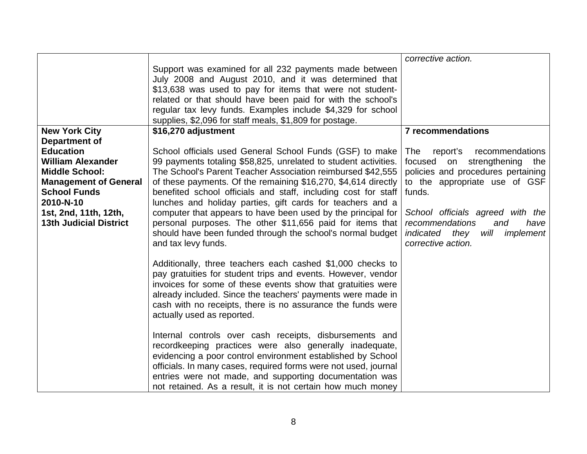|                                    |                                                                                                                            | corrective action.                         |
|------------------------------------|----------------------------------------------------------------------------------------------------------------------------|--------------------------------------------|
|                                    | Support was examined for all 232 payments made between<br>July 2008 and August 2010, and it was determined that            |                                            |
|                                    | \$13,638 was used to pay for items that were not student-<br>related or that should have been paid for with the school's   |                                            |
|                                    | regular tax levy funds. Examples include \$4,329 for school                                                                |                                            |
|                                    | supplies, \$2,096 for staff meals, \$1,809 for postage.                                                                    |                                            |
| <b>New York City</b>               | \$16,270 adjustment                                                                                                        | <b>7 recommendations</b>                   |
| <b>Department of</b>               |                                                                                                                            |                                            |
| <b>Education</b>                   | School officials used General School Funds (GSF) to make                                                                   | The<br>report's<br>recommendations         |
| <b>William Alexander</b>           | 99 payments totaling \$58,825, unrelated to student activities.                                                            | strengthening<br>focused on<br>the         |
| <b>Middle School:</b>              | The School's Parent Teacher Association reimbursed \$42,555                                                                | policies and procedures pertaining         |
| <b>Management of General</b>       | of these payments. Of the remaining \$16,270, \$4,614 directly                                                             | to the appropriate use of GSF              |
| <b>School Funds</b>                | benefited school officials and staff, including cost for staff                                                             | funds.                                     |
| 2010-N-10<br>1st, 2nd, 11th, 12th, | lunches and holiday parties, gift cards for teachers and a<br>computer that appears to have been used by the principal for | School officials agreed with the           |
| <b>13th Judicial District</b>      | personal purposes. The other \$11,656 paid for items that                                                                  | recommendations<br>have<br>and             |
|                                    | should have been funded through the school's normal budget                                                                 | <i>indicated</i> they<br>will<br>implement |
|                                    | and tax levy funds.                                                                                                        | corrective action.                         |
|                                    |                                                                                                                            |                                            |
|                                    | Additionally, three teachers each cashed \$1,000 checks to                                                                 |                                            |
|                                    | pay gratuities for student trips and events. However, vendor                                                               |                                            |
|                                    | invoices for some of these events show that gratuities were                                                                |                                            |
|                                    | already included. Since the teachers' payments were made in<br>cash with no receipts, there is no assurance the funds were |                                            |
|                                    | actually used as reported.                                                                                                 |                                            |
|                                    |                                                                                                                            |                                            |
|                                    | Internal controls over cash receipts, disbursements and                                                                    |                                            |
|                                    | recordkeeping practices were also generally inadequate,                                                                    |                                            |
|                                    | evidencing a poor control environment established by School                                                                |                                            |
|                                    | officials. In many cases, required forms were not used, journal                                                            |                                            |
|                                    | entries were not made, and supporting documentation was                                                                    |                                            |
|                                    | not retained. As a result, it is not certain how much money                                                                |                                            |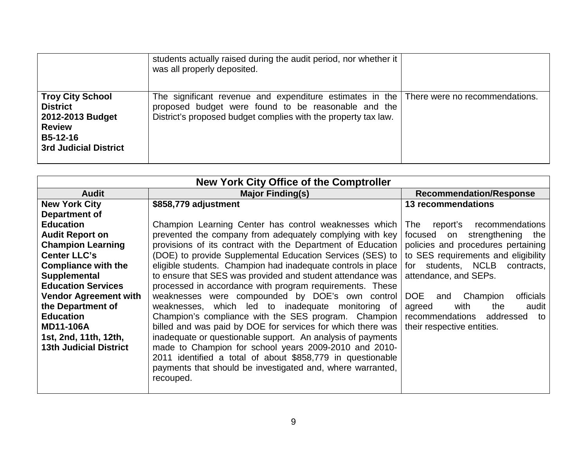|                                                                                                                             | students actually raised during the audit period, nor whether it<br>was all properly deposited.                                                                                                                    |  |
|-----------------------------------------------------------------------------------------------------------------------------|--------------------------------------------------------------------------------------------------------------------------------------------------------------------------------------------------------------------|--|
| <b>Troy City School</b><br><b>District</b><br>2012-2013 Budget<br><b>Review</b><br>B5-12-16<br><b>3rd Judicial District</b> | The significant revenue and expenditure estimates in the   There were no recommendations.<br>proposed budget were found to be reasonable and the<br>District's proposed budget complies with the property tax law. |  |

| New York City Office of the Comptroller |                                                              |                                            |  |
|-----------------------------------------|--------------------------------------------------------------|--------------------------------------------|--|
| <b>Audit</b>                            | <b>Major Finding(s)</b>                                      | <b>Recommendation/Response</b>             |  |
| <b>New York City</b>                    | \$858,779 adjustment                                         | <b>13 recommendations</b>                  |  |
| Department of                           |                                                              |                                            |  |
| <b>Education</b>                        | Champion Learning Center has control weaknesses which        | recommendations<br>The<br>report's         |  |
| <b>Audit Report on</b>                  | prevented the company from adequately complying with key     | strengthening the<br>focused<br>on         |  |
| <b>Champion Learning</b>                | provisions of its contract with the Department of Education  | policies and procedures pertaining         |  |
| <b>Center LLC's</b>                     | (DOE) to provide Supplemental Education Services (SES) to    | to SES requirements and eligibility        |  |
| <b>Compliance with the</b>              | eligible students. Champion had inadequate controls in place | for students, NCLB contracts,              |  |
| <b>Supplemental</b>                     | to ensure that SES was provided and student attendance was   | attendance, and SEPs.                      |  |
| <b>Education Services</b>               | processed in accordance with program requirements. These     |                                            |  |
| <b>Vendor Agreement with</b>            | weaknesses were compounded by DOE's own control              | DOE<br><i>officials</i><br>Champion<br>and |  |
| the Department of                       | weaknesses, which led to inadequate monitoring of            | with<br>audit<br>agreed<br>the             |  |
| <b>Education</b>                        | Champion's compliance with the SES program. Champion         | recommendations<br>addressed<br>to         |  |
| <b>MD11-106A</b>                        | billed and was paid by DOE for services for which there was  | their respective entities.                 |  |
| 1st, 2nd, 11th, 12th,                   | inadequate or questionable support. An analysis of payments  |                                            |  |
| <b>13th Judicial District</b>           | made to Champion for school years 2009-2010 and 2010-        |                                            |  |
|                                         | 2011 identified a total of about \$858,779 in questionable   |                                            |  |
|                                         | payments that should be investigated and, where warranted,   |                                            |  |
|                                         | recouped.                                                    |                                            |  |
|                                         |                                                              |                                            |  |